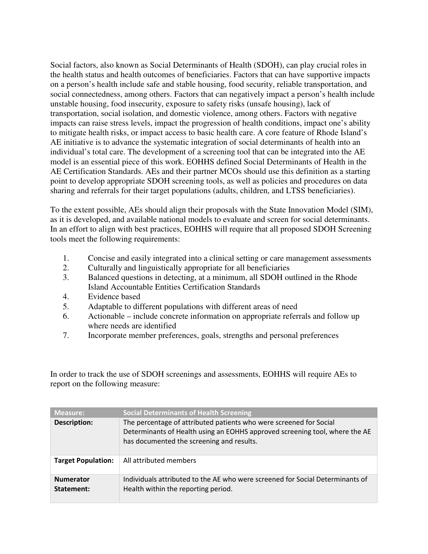Social factors, also known as Social Determinants of Health (SDOH), can play crucial roles in the health status and health outcomes of beneficiaries. Factors that can have supportive impacts on a person's health include safe and stable housing, food security, reliable transportation, and social connectedness, among others. Factors that can negatively impact a person's health include unstable housing, food insecurity, exposure to safety risks (unsafe housing), lack of transportation, social isolation, and domestic violence, among others. Factors with negative impacts can raise stress levels, impact the progression of health conditions, impact one's ability to mitigate health risks, or impact access to basic health care. A core feature of Rhode Island's AE initiative is to advance the systematic integration of social determinants of health into an individual's total care. The development of a screening tool that can be integrated into the AE model is an essential piece of this work. EOHHS defined Social Determinants of Health in the AE Certification Standards. AEs and their partner MCOs should use this definition as a starting point to develop appropriate SDOH screening tools, as well as policies and procedures on data sharing and referrals for their target populations (adults, children, and LTSS beneficiaries).

To the extent possible, AEs should align their proposals with the State Innovation Model (SIM), as it is developed, and available national models to evaluate and screen for social determinants. In an effort to align with best practices, EOHHS will require that all proposed SDOH Screening tools meet the following requirements:

- 1. Concise and easily integrated into a clinical setting or care management assessments
- 2. Culturally and linguistically appropriate for all beneficiaries
- 3. Balanced questions in detecting, at a minimum, all SDOH outlined in the Rhode Island Accountable Entities Certification Standards
- 4. Evidence based
- 5. Adaptable to different populations with different areas of need
- 6. Actionable include concrete information on appropriate referrals and follow up where needs are identified
- 7. Incorporate member preferences, goals, strengths and personal preferences

In order to track the use of SDOH screenings and assessments, EOHHS will require AEs to report on the following measure:

| <b>Measure:</b>                | <b>Social Determinants of Health Screening</b>                                                                                                                                                 |
|--------------------------------|------------------------------------------------------------------------------------------------------------------------------------------------------------------------------------------------|
| Description:                   | The percentage of attributed patients who were screened for Social<br>Determinants of Health using an EOHHS approved screening tool, where the AE<br>has documented the screening and results. |
| <b>Target Population:</b>      | All attributed members                                                                                                                                                                         |
| <b>Numerator</b><br>Statement: | Individuals attributed to the AE who were screened for Social Determinants of<br>Health within the reporting period.                                                                           |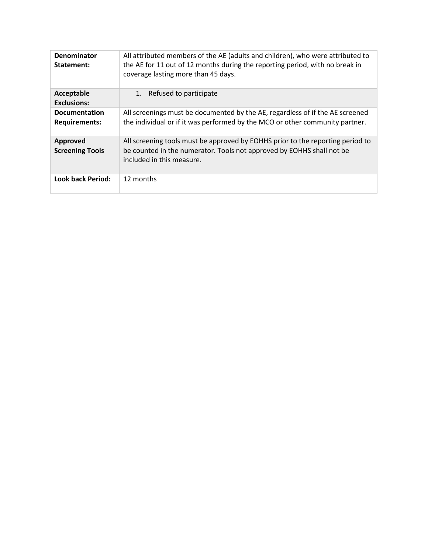| Denominator<br>Statement:                    | All attributed members of the AE (adults and children), who were attributed to<br>the AE for 11 out of 12 months during the reporting period, with no break in<br>coverage lasting more than 45 days. |
|----------------------------------------------|-------------------------------------------------------------------------------------------------------------------------------------------------------------------------------------------------------|
| Acceptable<br><b>Exclusions:</b>             | Refused to participate<br>1.                                                                                                                                                                          |
| <b>Documentation</b><br><b>Requirements:</b> | All screenings must be documented by the AE, regardless of if the AE screened<br>the individual or if it was performed by the MCO or other community partner.                                         |
| <b>Approved</b><br><b>Screening Tools</b>    | All screening tools must be approved by EOHHS prior to the reporting period to<br>be counted in the numerator. Tools not approved by EOHHS shall not be<br>included in this measure.                  |
| <b>Look back Period:</b>                     | 12 months                                                                                                                                                                                             |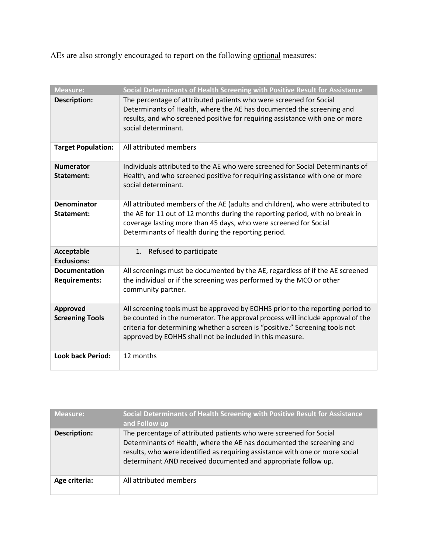AEs are also strongly encouraged to report on the following optional measures:

| <b>Measure:</b>                              | Social Determinants of Health Screening with Positive Result for Assistance                                                                                                                                                                                                                                  |
|----------------------------------------------|--------------------------------------------------------------------------------------------------------------------------------------------------------------------------------------------------------------------------------------------------------------------------------------------------------------|
| <b>Description:</b>                          | The percentage of attributed patients who were screened for Social<br>Determinants of Health, where the AE has documented the screening and<br>results, and who screened positive for requiring assistance with one or more<br>social determinant.                                                           |
| <b>Target Population:</b>                    | All attributed members                                                                                                                                                                                                                                                                                       |
| <b>Numerator</b><br>Statement:               | Individuals attributed to the AE who were screened for Social Determinants of<br>Health, and who screened positive for requiring assistance with one or more<br>social determinant.                                                                                                                          |
| Denominator<br>Statement:                    | All attributed members of the AE (adults and children), who were attributed to<br>the AE for 11 out of 12 months during the reporting period, with no break in<br>coverage lasting more than 45 days, who were screened for Social<br>Determinants of Health during the reporting period.                    |
| Acceptable<br><b>Exclusions:</b>             | 1.<br>Refused to participate                                                                                                                                                                                                                                                                                 |
| <b>Documentation</b><br><b>Requirements:</b> | All screenings must be documented by the AE, regardless of if the AE screened<br>the individual or if the screening was performed by the MCO or other<br>community partner.                                                                                                                                  |
| <b>Approved</b><br><b>Screening Tools</b>    | All screening tools must be approved by EOHHS prior to the reporting period to<br>be counted in the numerator. The approval process will include approval of the<br>criteria for determining whether a screen is "positive." Screening tools not<br>approved by EOHHS shall not be included in this measure. |
| <b>Look back Period:</b>                     | 12 months                                                                                                                                                                                                                                                                                                    |

| <b>Measure:</b> | Social Determinants of Health Screening with Positive Result for Assistance<br>and Follow up                                                                                                                                                                                                  |
|-----------------|-----------------------------------------------------------------------------------------------------------------------------------------------------------------------------------------------------------------------------------------------------------------------------------------------|
| Description:    | The percentage of attributed patients who were screened for Social<br>Determinants of Health, where the AE has documented the screening and<br>results, who were identified as requiring assistance with one or more social<br>determinant AND received documented and appropriate follow up. |
| Age criteria:   | All attributed members                                                                                                                                                                                                                                                                        |